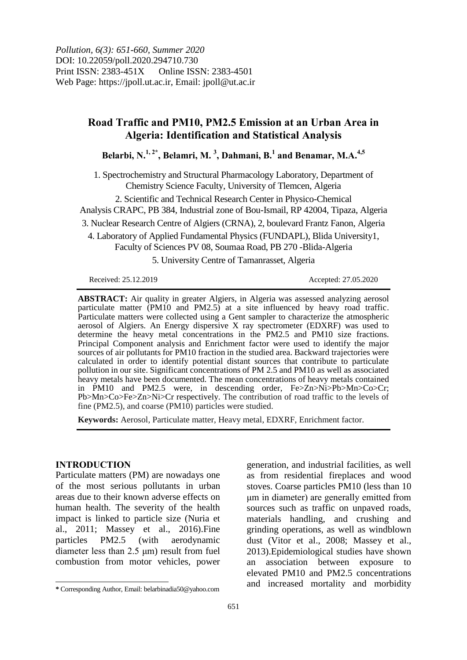*Pollution, 6(3): 651-660, Summer 2020* DOI: 10.22059/poll.2020.294710.730 Print ISSN: 2383-451X Online ISSN: 2383-4501 Web Page: https://jpoll.ut.ac.ir, Email: jpoll@ut.ac.ir

# **Road Traffic and PM10, PM2.5 Emission at an Urban Area in Algeria: Identification and Statistical Analysis**

**Belarbi, N.1, 2\* , Belamri, M. <sup>3</sup> , Dahmani, B.<sup>1</sup> and Benamar, M.A.4,5**

1. Spectrochemistry and Structural Pharmacology Laboratory, Department of Chemistry Science Faculty, University of Tlemcen, Algeria

2. Scientific and Technical Research Center in Physico-Chemical

Analysis CRAPC, PB 384, Industrial zone of Bou-Ismail, RP 42004, Tipaza, Algeria

3. Nuclear Research Centre of Algiers (CRNA), 2, boulevard Frantz Fanon, Algeria

4. Laboratory of Applied Fundamental Physics (FUNDAPL), Blida University1,

Faculty of Sciences PV 08, Soumaa Road, PB 270 -Blida-Algeria

5. University Centre of Tamanrasset, Algeria

Received: 25.12.2019 Accepted: 27.05.2020

**ABSTRACT:** Air quality in greater Algiers, in Algeria was assessed analyzing aerosol particulate matter (PM10 and PM2.5) at a site influenced by heavy road traffic. Particulate matters were collected using a Gent sampler to characterize the atmospheric aerosol of Algiers. An Energy dispersive X ray spectrometer (EDXRF) was used to determine the heavy metal concentrations in the PM2.5 and PM10 size fractions. Principal Component analysis and Enrichment factor were used to identify the major sources of air pollutants for PM10 fraction in the studied area. Backward trajectories were calculated in order to identify potential distant sources that contribute to particulate pollution in our site. Significant concentrations of PM 2.5 and PM10 as well as associated heavy metals have been documented. The mean concentrations of heavy metals contained in PM10 and PM2.5 were, in descending order, Fe>Zn>Ni>Pb>Mn>Co>Cr; Pb>Mn>Co>Fe>Zn>Ni>Cr respectively. The contribution of road traffic to the levels of fine (PM2.5), and coarse (PM10) particles were studied.

**Keywords:** Aerosol, Particulate matter, Heavy metal, EDXRF, Enrichment factor.

### **INTRODUCTION**

 $\overline{\phantom{a}}$ 

Particulate matters (PM) are nowadays one of the most serious pollutants in urban areas due to their known adverse effects on human health. The severity of the health impact is linked to particle size (Nuria et al., 2011; Massey et al., 2016).Fine particles PM2.5 (with aerodynamic diameter less than 2.5 μm) result from fuel combustion from motor vehicles, power

generation, and industrial facilities, as well as from residential fireplaces and wood stoves. Coarse particles PM10 (less than 10 μm in diameter) are generally emitted from sources such as traffic on unpaved roads, materials handling, and crushing and grinding operations, as well as windblown dust (Vitor et al., 2008; Massey et al., 2013).Epidemiological studies have shown an association between exposure to elevated PM10 and PM2.5 concentrations and increased mortality and morbidity

**<sup>\*</sup>** Corresponding Author, Email: belarbinadia50@yahoo.com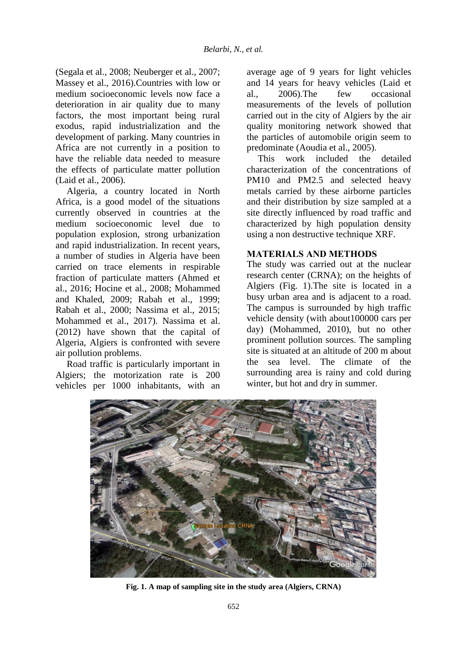(Segala et al., 2008; Neuberger et al., 2007; Massey et al., 2016).Countries with low or medium socioeconomic levels now face a deterioration in air quality due to many factors, the most important being rural exodus, rapid industrialization and the development of parking. Many countries in Africa are not currently in a position to have the reliable data needed to measure the effects of particulate matter pollution (Laid et al., 2006).

Algeria, a country located in North Africa, is a good model of the situations currently observed in countries at the medium socioeconomic level due to population explosion, strong urbanization and rapid industrialization. In recent years, a number of studies in Algeria have been carried on trace elements in respirable fraction of particulate matters (Ahmed et al., 2016; Hocine et al., 2008; Mohammed and Khaled, 2009; Rabah et al., 1999; Rabah et al., 2000; Nassima et al., 2015; Mohammed et al., 2017). Nassima et al. (2012) have shown that the capital of Algeria, Algiers is confronted with severe air pollution problems.

Road traffic is particularly important in Algiers; the motorization rate is 200 vehicles per 1000 inhabitants, with an

average age of 9 years for light vehicles and 14 years for heavy vehicles (Laid et al., 2006).The few occasional measurements of the levels of pollution carried out in the city of Algiers by the air quality monitoring network showed that the particles of automobile origin seem to predominate (Aoudia et al., 2005).

This work included the detailed characterization of the concentrations of PM10 and PM2.5 and selected heavy metals carried by these airborne particles and their distribution by size sampled at a site directly influenced by road traffic and characterized by high population density using a non destructive technique XRF.

### **MATERIALS AND METHODS**

The study was carried out at the nuclear research center (CRNA); on the heights of Algiers (Fig. 1).The site is located in a busy urban area and is adjacent to a road. The campus is surrounded by high traffic vehicle density (with about100000 cars per day) (Mohammed, 2010), but no other prominent pollution sources. The sampling site is situated at an altitude of 200 m about the sea level. The climate of the surrounding area is rainy and cold during winter, but hot and dry in summer.



**Fig. 1. A map of sampling site in the study area (Algiers, CRNA)**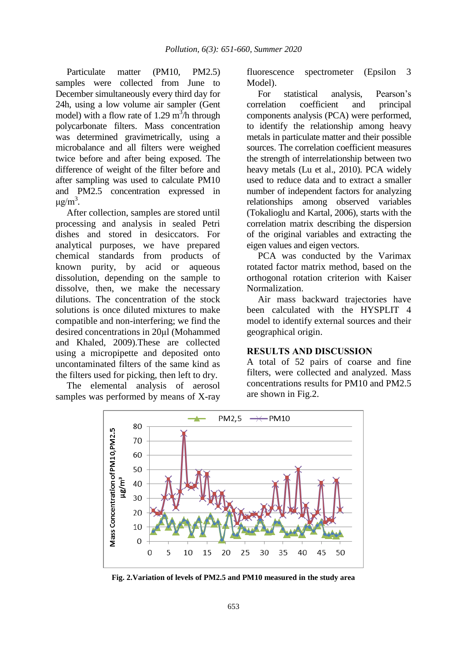Particulate matter (PM10, PM2.5) samples were collected from June to December simultaneously every third day for 24h, using a low volume air sampler (Gent model) with a flow rate of 1.29  $m^3/h$  through polycarbonate filters. Mass concentration was determined gravimetrically, using a microbalance and all filters were weighed twice before and after being exposed. The difference of weight of the filter before and after sampling was used to calculate PM10 and PM2.5 concentration expressed in μg/m<sup>3</sup>.

After collection, samples are stored until processing and analysis in sealed Petri dishes and stored in desiccators. For analytical purposes, we have prepared chemical standards from products of known purity, by acid or aqueous dissolution, depending on the sample to dissolve, then, we make the necessary dilutions. The concentration of the stock solutions is once diluted mixtures to make compatible and non-interfering; we find the desired concentrations in 20μl (Mohammed and Khaled, 2009).These are collected using a micropipette and deposited onto uncontaminated filters of the same kind as the filters used for picking, then left to dry.

The elemental analysis of aerosol samples was performed by means of X-ray fluorescence spectrometer (Epsilon 3 Model).

For statistical analysis, Pearson's correlation coefficient and principal components analysis (PCA) were performed, to identify the relationship among heavy metals in particulate matter and their possible sources. The correlation coefficient measures the strength of interrelationship between two heavy metals (Lu et al., 2010). PCA widely used to reduce data and to extract a smaller number of independent factors for analyzing relationships among observed variables (Tokalioglu and Kartal, 2006), starts with the correlation matrix describing the dispersion of the original variables and extracting the eigen values and eigen vectors.

PCA was conducted by the Varimax rotated factor matrix method, based on the orthogonal rotation criterion with Kaiser Normalization.

Air mass backward trajectories have been calculated with the HYSPLIT 4 model to identify external sources and their geographical origin.

### **RESULTS AND DISCUSSION**

A total of 52 pairs of coarse and fine filters, were collected and analyzed. Mass concentrations results for PM10 and PM2.5 are shown in Fig.2.



**Fig. 2.Variation of levels of PM2.5 and PM10 measured in the study area**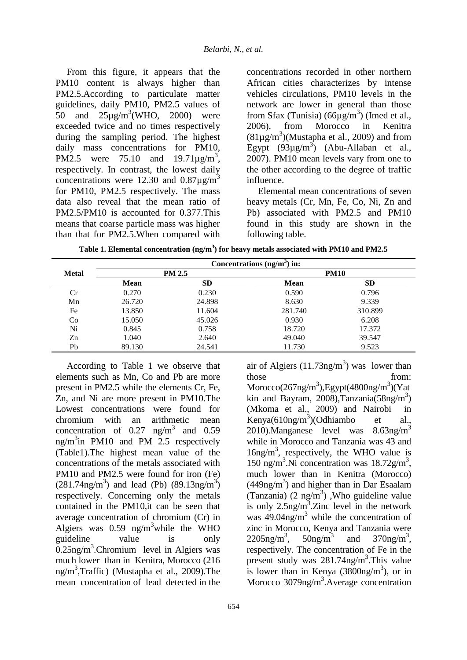From this figure, it appears that the PM10 content is always higher than PM2.5.According to particulate matter guidelines, daily PM10, PM2.5 values of 50 and  $25\mu\text{g/m}^3(\text{WHO}, 2000)$  were exceeded twice and no times respectively during the sampling period. The highest daily mass concentrations for PM10, PM2.5 were 75.10 and  $19.71 \mu g/m^3$ , respectively. In contrast, the lowest daily concentrations were 12.30 and  $0.87\mu g/m^3$ for PM10, PM2.5 respectively. The mass data also reveal that the mean ratio of PM2.5/PM10 is accounted for 0.377.This means that coarse particle mass was higher than that for PM2.5.When compared with

concentrations recorded in other northern African cities characterizes by intense vehicles circulations, PM10 levels in the network are lower in general than those from Sfax (Tunisia)  $(66\mu g/m^3)$  (Imed et al., 2006), from Morocco in Kenitra  $(81\mu\text{g/m}^3)$ (Mustapha et al., 2009) and from Egypt  $(93\mu g/m^3)$  (Abu-Allaban et al., 2007). PM10 mean levels vary from one to the other according to the degree of traffic influence.

Elemental mean concentrations of seven heavy metals (Cr, Mn, Fe, Co, Ni, Zn and Pb) associated with PM2.5 and PM10 found in this study are shown in the following table.

|              |             |               | Concentrations $(ng/m3)$ in: |             |  |
|--------------|-------------|---------------|------------------------------|-------------|--|
| <b>Metal</b> |             | <b>PM 2.5</b> |                              | <b>PM10</b> |  |
|              | <b>Mean</b> | <b>SD</b>     | <b>Mean</b>                  | <b>SD</b>   |  |
| Cr           | 0.270       | 0.230         | 0.590                        | 0.796       |  |
| Mn           | 26.720      | 24.898        | 8.630                        | 9.339       |  |
| Fe           | 13.850      | 11.604        | 281.740                      | 310.899     |  |
| Co           | 15.050      | 45.026        | 0.930                        | 6.208       |  |
| Ni           | 0.845       | 0.758         | 18.720                       | 17.372      |  |
| Zn           | 1.040       | 2.640         | 49.040                       | 39.547      |  |
| Pb           | 89.130      | 24.541        | 11.730                       | 9.523       |  |

According to Table 1 we observe that elements such as Mn, Co and Pb are more present in PM2.5 while the elements Cr, Fe, Zn, and Ni are more present in PM10.The Lowest concentrations were found for chromium with an arithmetic mean concentration of  $0.27 \text{ ng/m}^3$  and  $0.59$ ng/m<sup>3</sup>in PM10 and PM 2.5 respectively (Table1).The highest mean value of the concentrations of the metals associated with PM10 and PM2.5 were found for iron (Fe)  $(281.74)$ ng/m<sup>3</sup>) and lead (Pb)  $(89.13)$ ng/m<sup>3</sup>) respectively. Concerning only the metals contained in the PM10,it can be seen that average concentration of chromium (Cr) in Algiers was  $0.59$  ng/m<sup>3</sup>while the WHO guideline value is only  $0.25$ ng/m<sup>3</sup>.Chromium level in Algiers was much lower than in Kenitra, Morocco (216 ng/m<sup>3</sup> ,Traffic) (Mustapha et al., 2009).The mean concentration of lead detected in the

those from: Morocco(267ng/m<sup>3</sup>), Egypt(4800ng/m<sup>3</sup>)(Yat kin and Bayram, 2008),Tanzania( $58$ ng/m<sup>3</sup>) (Mkoma et al., 2009) and Nairobi in Kenya $(610$ ng/m<sup>3</sup>)(Odhiambo et al., 2010).Manganese level was  $8.63$ ng/m<sup>3</sup> while in Morocco and Tanzania was 43 and 16ng/m<sup>3</sup> , respectively, the WHO value is 150 ng/m<sup>3</sup> .Ni concentration was 18.72g/m<sup>3</sup> , much lower than in Kenitra (Morocco)  $(449ng/m<sup>3</sup>)$  and higher than in Dar Esaalam (Tanzania)  $(2 \text{ ng/m}^3)$ , Who guideline value is only  $2.5$ ng/m<sup>3</sup>.Zinc level in the network was  $49.04$ ng/m<sup>3</sup> while the concentration of zinc in Morocco, Kenya and Tanzania were  $2205$ ng/m<sup>3</sup>,  $50$ ng/m<sup>3</sup> and  $370$ ng/m<sup>3</sup>, respectively. The concentration of Fe in the present study was 281.74ng/m<sup>3</sup>. This value is lower than in Kenya  $(3800ng/m<sup>3</sup>)$ , or in Morocco 3079ng/m<sup>3</sup>. Average concentration

air of Algiers  $(11.73$ ng/m<sup>3</sup>) was lower than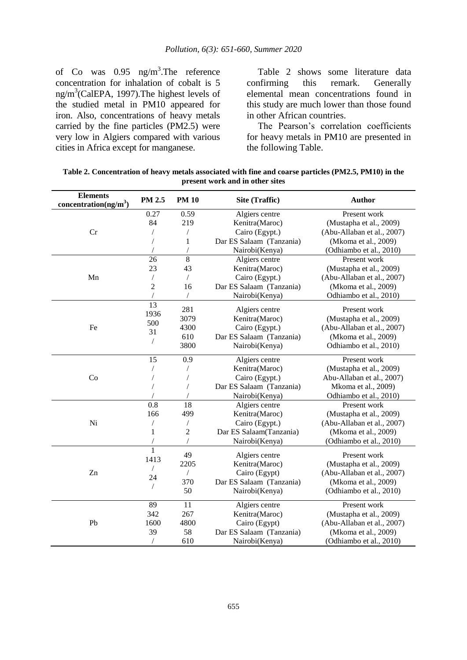of Co was  $0.95$  ng/m<sup>3</sup>. The reference concentration for inhalation of cobalt is 5 ng/m<sup>3</sup>(CalEPA, 1997). The highest levels of the studied metal in PM10 appeared for iron. Also, concentrations of heavy metals carried by the fine particles (PM2.5) were very low in Algiers compared with various cities in Africa except for manganese.

Table 2 shows some literature data confirming this remark. Generally elemental mean concentrations found in this study are much lower than those found in other African countries.

The Pearson's correlation coefficients for heavy metals in PM10 are presented in the following Table.

| <b>Elements</b><br>concentration(ng/m <sup>3</sup> ) | PM 2.5         | <b>PM 10</b>   | Site (Traffic)                               | <b>Author</b>              |
|------------------------------------------------------|----------------|----------------|----------------------------------------------|----------------------------|
|                                                      | 0.27           | 0.59           | Algiers centre                               | Present work               |
|                                                      | 84             | 219            | Kenitra(Maroc)                               | (Mustapha et al., 2009)    |
| Cr                                                   |                |                | Cairo (Egypt.)<br>(Abu-Allaban et al., 2007) |                            |
|                                                      |                | 1              | Dar ES Salaam (Tanzania)                     | (Mkoma et al., 2009)       |
|                                                      |                |                | Nairobi(Kenya)                               | (Odhiambo et al., 2010)    |
|                                                      | 26             | 8              | Algiers centre                               | Present work               |
|                                                      | 23             | 43             | Kenitra(Maroc)                               | (Mustapha et al., 2009)    |
| Mn                                                   |                | $\sqrt{2}$     | Cairo (Egypt.)                               | (Abu-Allaban et al., 2007) |
|                                                      | $\overline{2}$ | 16             | Dar ES Salaam (Tanzania)                     | (Mkoma et al., 2009)       |
|                                                      |                |                | Nairobi(Kenya)                               | Odhiambo et al., 2010)     |
|                                                      | 13             |                |                                              |                            |
|                                                      | 1936           | 281            | Algiers centre                               | Present work               |
|                                                      | 500            | 3079           | Kenitra(Maroc)                               | (Mustapha et al., 2009)    |
| Fe                                                   | 31             | 4300           | Cairo (Egypt.)                               | (Abu-Allaban et al., 2007) |
|                                                      |                | 610            | Dar ES Salaam (Tanzania)                     | (Mkoma et al., 2009)       |
|                                                      |                | 3800           | Nairobi(Kenya)                               | Odhiambo et al., 2010)     |
|                                                      | 15             | 0.9            | Algiers centre                               | Present work               |
|                                                      |                |                | Kenitra(Maroc)                               | (Mustapha et al., 2009)    |
| Co                                                   |                |                | Cairo (Egypt.)                               | Abu-Allaban et al., 2007)  |
|                                                      |                |                | Dar ES Salaam (Tanzania)                     | Mkoma et al., 2009)        |
|                                                      |                |                | Nairobi(Kenya)                               | Odhiambo et al., 2010)     |
|                                                      | 0.8            | 18             | Algiers centre                               | Present work               |
|                                                      | 166            | 499            | Kenitra(Maroc)                               | (Mustapha et al., 2009)    |
| Ni                                                   |                | T              | Cairo (Egypt.)                               | (Abu-Allaban et al., 2007) |
|                                                      | $\mathbf{1}$   | $\overline{c}$ | Dar ES Salaam(Tanzania)                      | (Mkoma et al., 2009)       |
|                                                      |                | $\overline{1}$ | Nairobi(Kenya)                               | (Odhiambo et al., 2010)    |
|                                                      | 1              | 49             |                                              |                            |
|                                                      | 1413           |                | Algiers centre                               | Present work               |
|                                                      |                | 2205           | Kenitra(Maroc)                               | (Mustapha et al., 2009)    |
| Zn                                                   | 24             | $\sqrt{2}$     | Cairo (Egypt)                                | (Abu-Allaban et al., 2007) |
|                                                      |                | 370            | Dar ES Salaam (Tanzania)                     | (Mkoma et al., 2009)       |
|                                                      |                | 50             | Nairobi(Kenya)                               | (Odhiambo et al., 2010)    |
|                                                      | 89             | 11             | Algiers centre                               | Present work               |
|                                                      | 342            | 267            | Kenitra(Maroc)                               | (Mustapha et al., 2009)    |
| Pb                                                   | 1600           | 4800           | Cairo (Egypt)                                | (Abu-Allaban et al., 2007) |
|                                                      | 39             | 58             | Dar ES Salaam (Tanzania)                     | (Mkoma et al., 2009)       |
|                                                      |                | 610            | Nairobi(Kenya)                               | (Odhiambo et al., 2010)    |

**Table 2. Concentration of heavy metals associated with fine and coarse particles (PM2.5, PM10) in the present work and in other sites**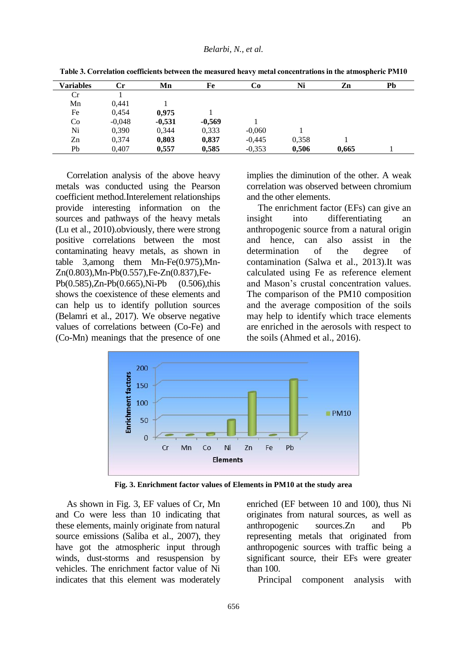| <b>Variables</b> | Сr       | Mn       | Fe       | Co       | Ni    | Zn    | Pb |
|------------------|----------|----------|----------|----------|-------|-------|----|
| Cr               |          |          |          |          |       |       |    |
| Mn               | 0,441    |          |          |          |       |       |    |
| Fe               | 0,454    | 0,975    |          |          |       |       |    |
| Co               | $-0,048$ | $-0,531$ | $-0,569$ |          |       |       |    |
| Ni               | 0,390    | 0,344    | 0,333    | $-0,060$ |       |       |    |
| Zn               | 0,374    | 0,803    | 0,837    | $-0,445$ | 0,358 |       |    |
| Pb               | 0,407    | 0.557    | 0,585    | $-0,353$ | 0.506 | 0.665 |    |

**Table 3. Correlation coefficients between the measured heavy metal concentrations in the atmospheric PM10**

Correlation analysis of the above heavy metals was conducted using the Pearson coefficient method.Interelement relationships provide interesting information on the sources and pathways of the heavy metals (Lu et al., 2010).obviously, there were strong positive correlations between the most contaminating heavy metals, as shown in table 3,among them Mn-Fe(0.975),Mn-Zn(0.803),Mn-Pb(0.557),Fe-Zn(0.837),Fe-Pb(0.585),Zn-Pb(0.665),Ni-Pb (0.506),this shows the coexistence of these elements and can help us to identify pollution sources (Belamri et al., 2017). We observe negative values of correlations between (Co-Fe) and (Co-Mn) meanings that the presence of one

implies the diminution of the other. A weak correlation was observed between chromium and the other elements.

The enrichment factor (EFs) can give an insight into differentiating an anthropogenic source from a natural origin and hence, can also assist in the determination of the degree of contamination (Salwa et al., 2013).It was calculated using Fe as reference element and Mason's crustal concentration values. The comparison of the PM10 composition and the average composition of the soils may help to identify which trace elements are enriched in the aerosols with respect to the soils (Ahmed et al., 2016).



**Fig. 3. Enrichment factor values of Elements in PM10 at the study area**

As shown in Fig. 3, EF values of Cr, Mn and Co were less than 10 indicating that these elements, mainly originate from natural source emissions (Saliba et al., 2007), they have got the atmospheric input through winds, dust-storms and resuspension by vehicles. The enrichment factor value of Ni indicates that this element was moderately enriched (EF between 10 and 100), thus Ni originates from natural sources, as well as anthropogenic sources.Zn and Pb representing metals that originated from anthropogenic sources with traffic being a significant source, their EFs were greater than 100.

Principal component analysis with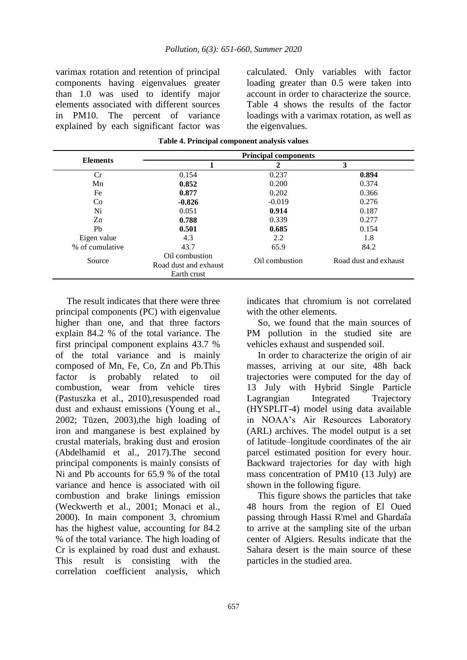varimax rotation and retention of principal components having eigenvalues greater than 1.0 was used to identify major elements associated with different sources in PM10. The percent of variance explained by each significant factor was calculated. Only variables with factor loading greater than 0.5 were taken into account in order to characterize the source. Table 4 shows the results of the factor loadings with a varimax rotation, as well as the eigenvalues.

|                 | <b>Principal components</b>                            |                |                       |  |  |
|-----------------|--------------------------------------------------------|----------------|-----------------------|--|--|
| <b>Elements</b> |                                                        | 2              | 3                     |  |  |
| Сr              | 0.154                                                  | 0.237          | 0.894                 |  |  |
| Mn              | 0.852                                                  | 0.200          | 0.374                 |  |  |
| Fe              | 0.877                                                  | 0.202          | 0.366                 |  |  |
| Co              | $-0.826$                                               | $-0.019$       | 0.276                 |  |  |
| Ni              | 0.051                                                  | 0.914          | 0.187                 |  |  |
| Zn              | 0.788                                                  | 0.339          | 0.277                 |  |  |
| Pb              | 0.501                                                  | 0.685          | 0.154                 |  |  |
| Eigen value     | 4.3                                                    | 2.2            | 1.8                   |  |  |
| % of cumulative | 43.7                                                   | 65.9           | 84.2                  |  |  |
| Source          | Oil combustion<br>Road dust and exhaust<br>Earth crust | Oil combustion | Road dust and exhaust |  |  |

| Table 4. Principal component analysis values |  |  |  |  |  |
|----------------------------------------------|--|--|--|--|--|
|----------------------------------------------|--|--|--|--|--|

The result indicates that there were three principal components (PC) with eigenvalue higher than one, and that three factors explain 84.2 % of the total variance. The first principal component explains 43.7 % of the total variance and is mainly composed of Mn, Fe, Co, Zn and Pb.This factor is probably related to oil combustion, wear from vehicle tires (Pastuszka et al., 2010),resuspended road dust and exhaust emissions (Young et al., 2002; Tüzen, 2003),the high loading of iron and manganese is best explained by crustal materials, braking dust and erosion (Abdelhamid et al., 2017).The second principal components is mainly consists of Ni and Pb accounts for 65.9 % of the total variance and hence is associated with oil combustion and brake linings emission (Weckwerth et al., 2001; Monaci et al., 2000). In main component 3, chromium has the highest value, accounting for 84.2 % of the total variance. The high loading of Cr is explained by road dust and exhaust. This result is consisting with the correlation coefficient analysis, which

indicates that chromium is not correlated with the other elements.

So, we found that the main sources of PM pollution in the studied site are vehicles exhaust and suspended soil.

In order to characterize the origin of air masses, arriving at our site, 48h back trajectories were computed for the day of 13 July with Hybrid Single Particle Lagrangian Integrated Trajectory (HYSPLIT-4) model using data available in NOAA's Air Resources Laboratory (ARL) archives. The model output is a set of latitude–longitude coordinates of the air parcel estimated position for every hour. Backward trajectories for day with high mass concentration of PM10 (13 July) are shown in the following figure.

This figure shows the particles that take 48 hours from the region of El Oued passing through Hassi R'mel and Ghardaîa to arrive at the sampling site of the urban center of Algiers. Results indicate that the Sahara desert is the main source of these particles in the studied area.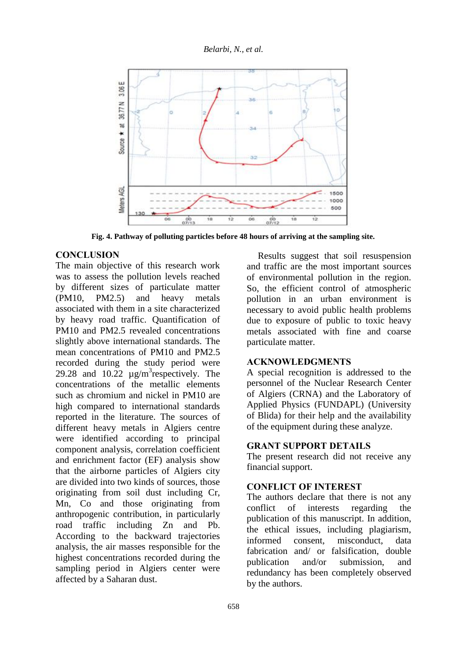

**Fig. 4. Pathway of polluting particles before 48 hours of arriving at the sampling site.**

### **CONCLUSION**

The main objective of this research work was to assess the pollution levels reached by different sizes of particulate matter (PM10, PM2.5) and heavy metals associated with them in a site characterized by heavy road traffic. Quantification of PM10 and PM2.5 revealed concentrations slightly above international standards. The mean concentrations of PM10 and PM2.5 recorded during the study period were 29.28 and  $10.22 \mu g/m^3$  respectively. The concentrations of the metallic elements such as chromium and nickel in PM10 are high compared to international standards reported in the literature. The sources of different heavy metals in Algiers centre were identified according to principal component analysis, correlation coefficient and enrichment factor (EF) analysis show that the airborne particles of Algiers city are divided into two kinds of sources, those originating from soil dust including Cr, Mn, Co and those originating from anthropogenic contribution, in particularly road traffic including Zn and Pb. According to the backward trajectories analysis, the air masses responsible for the highest concentrations recorded during the sampling period in Algiers center were affected by a Saharan dust.

Results suggest that soil resuspension and traffic are the most important sources of environmental pollution in the region. So, the efficient control of atmospheric pollution in an urban environment is necessary to avoid public health problems due to exposure of public to toxic heavy metals associated with fine and coarse particulate matter.

#### **ACKNOWLEDGMENTS**

A special recognition is addressed to the personnel of the Nuclear Research Center of Algiers (CRNA) and the Laboratory of Applied Physics (FUNDAPL) (University of Blida) for their help and the availability of the equipment during these analyze.

### **GRANT SUPPORT DETAILS**

The present research did not receive any financial support.

## **CONFLICT OF INTEREST**

The authors declare that there is not any conflict of interests regarding the publication of this manuscript. In addition, the ethical issues, including plagiarism, informed consent, misconduct, data fabrication and/ or falsification, double publication and/or submission, and redundancy has been completely observed by the authors.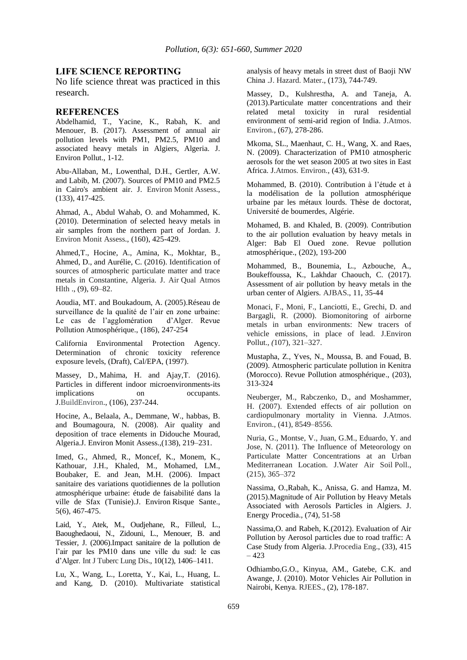#### **LIFE SCIENCE REPORTING**

No life science threat was practiced in this research.

#### **REFERENCES**

Abdelhamid, T., Yacine, K., Rabah, K. and Menouer, B. (2017). Assessment of annual air pollution levels with PM1, PM2.5, PM10 and associated heavy metals in Algiers, Algeria. J. Environ Pollut., 1-12.

Abu-Allaban, M., Lowenthal, D.H., Gertler, A.W. and Labib, M. (2007). Sources of PM10 and PM2.5 in Cairo's ambient air. J. Environ Monit Assess., (133), 417-425.

Ahmad, A., Abdul Wahab, O. and Mohammed, K. (2010). Determination of selected heavy metals in air samples from the northern part of Jordan. J. Environ Monit Assess., (160), 425-429.

Ahmed,T., Hocine, A., Amina, K., Mokhtar, B., Ahmed, D., and Aurélie, C. (2016). Identification of sources of atmospheric particulate matter and trace metals in Constantine, Algeria. J. Air Qual Atmos Hlth ., (9), 69–82.

Aoudia, MT. and Boukadoum, A. (2005).Réseau de surveillance de la qualité de l'air en zone urbaine: Le cas de l'agglomération d'Alger. Revue Pollution Atmosphérique., (186), 247-254

California Environmental Protection Agency. Determination of chronic toxicity reference exposure levels, (Draft), Cal/EPA, (1997).

Massey, D., Mahima, H. and Ajay,T. (2016). Particles in different indoor microenvironments-its implications on occupants. J.BuildEnviron., (106), 237-244.

Hocine, A., Belaala, A., Demmane, W., habbas, B. and Boumagoura, N. (2008). Air quality and deposition of trace elements in Didouche Mourad, Algeria.J. Environ Monit Assess.,(138), 219–231.

Imed, G., Ahmed, R., Moncef, K., Monem, K., Kathouar, J.H., Khaled, M., Mohamed, LM., Boubaker, E. and Jean, M.H. (2006). Impact sanitaire des variations quotidiennes de la pollution atmosphérique urbaine: étude de faisabilité dans la ville de Sfax (Tunisie).J. Environ Risque Sante., 5(6), 467-475.

Laid, Y., Atek, M., Oudjehane, R., Filleul, L., Baoughedaoui, N., Zidouni, L., Menouer, B. and Tessier, J. (2006).Impact sanitaire de la pollution de l'air par les PM10 dans une ville du sud: le cas d'Alger. Int J Tuberc Lung Dis., 10(12), 1406–1411.

Lu, X., Wang, L., Loretta, Y., Kai, L., Huang, L. and Kang, D. (2010). Multivariate statistical analysis of heavy metals in street dust of Baoji NW China .J. Hazard. Mater., (173), 744-749.

Massey, D., Kulshrestha, A. and Taneja, A. (2013).Particulate matter concentrations and their related metal toxicity in rural residential environment of semi-arid region of India. J.Atmos. Environ., (67), 278-286.

Mkoma, SL., Maenhaut, C. H., Wang, X. and Raes, N. (2009). Characterization of PM10 atmospheric aerosols for the wet season 2005 at two sites in East Africa. J.Atmos. Environ., (43), 631-9.

Mohammed, B. (2010). Contribution à l'étude et à la modélisation de la pollution atmosphérique urbaine par les métaux lourds. Thèse de doctorat, Université de boumerdes, Algérie.

Mohamed, B. and Khaled, B. (2009). Contribution to the air pollution evaluation by heavy metals in Alger: Bab El Oued zone. Revue pollution atmosphérique., (202), 193-200

Mohammed, B., Bounemia, L., Azbouche, A., Boukeffoussa, K., Lakhdar Chaouch, C. (2017). Assessment of air pollution by heavy metals in the urban center of Algiers. AJBAS., 11, 35-44

Monaci, F., Moni, F., Lanciotti, E., Grechi, D. and Bargagli, R. (2000). Biomonitoring of airborne metals in urban environments: New tracers of vehicle emissions, in place of lead. J.Environ Pollut., *(*107), 321–327.

Mustapha, Z., Yves, N., Moussa, B. and Fouad, B. (2009). Atmospheric particulate pollution in Kenitra (Morocco). Revue Pollution atmosphérique., (203), 313-324

Neuberger, M., Rabczenko, D., and Moshammer, H. (2007). Extended effects of air pollution on cardiopulmonary mortality in Vienna. J.Atmos. Environ., (41), 8549–8556.

Nuria, G., Montse, V., Juan, G.M., Eduardo, Y. and Jose, N. (2011). The Influence of Meteorology on Particulate Matter Concentrations at an Urban Mediterranean Location. J.Water Air Soil Poll., (215), 365–372

Nassima, O.,Rabah, K., Anissa, G. and Hamza, M. (2015).Magnitude of Air Pollution by Heavy Metals Associated with Aerosols Particles in Algiers. J. Energy Procedia., (74), 51-58

Nassima,O. and Rabeh, K.(2012). Evaluation of Air Pollution by Aerosol particles due to road traffic: A Case Study from Algeria. J.Procedia Eng., (33), 415 – 423

Odhiambo,G.O., Kinyua, AM., Gatebe, C.K. and Awange, J. (2010). Motor Vehicles Air Pollution in Nairobi, Kenya. RJEES., (2), 178-187.